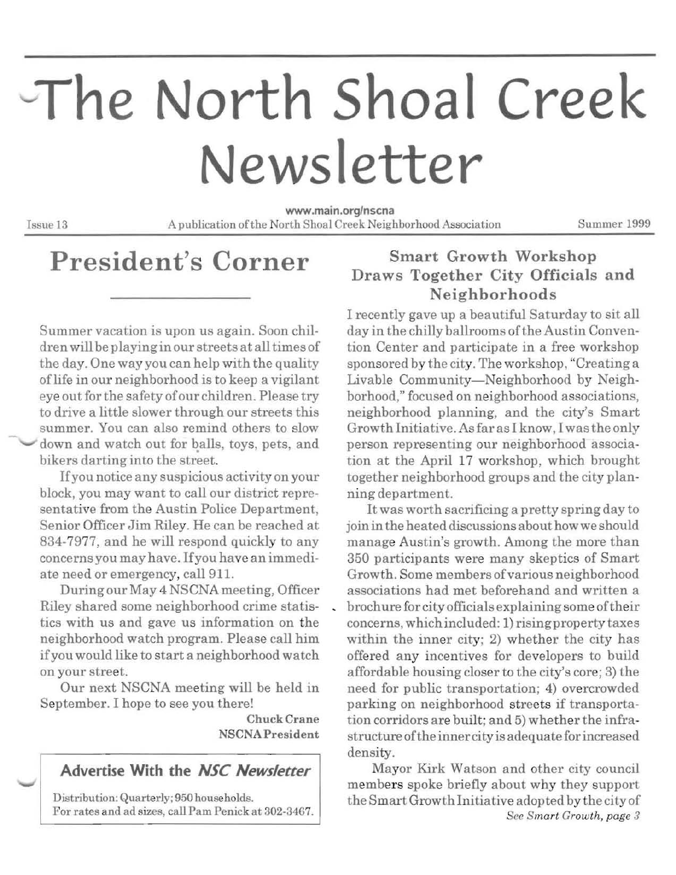# The North Shoal Creek **Newsletter**

www.main.org/nscna Issue 13 A publica tion ofthe North Shoal Creek Neighborhood Association Summer 1999

## **President's Corner**

Summer vacation is upon us again. Soon children will be playinginourstreets at alltimes of the day. One way you can help with the quality oflife in our neighborhood is to keep a vigilant eye out for the safety ofour children. Please try to drive a little slower through our streets this summer. You can also remind others to slow down and watch out for balls, toys, pets, and bikers darting into the street.

Ifyou notice any suspicious activity on your block, you may want to call our district representative from the Austin Police Department, Senior Officer Jim Riley. He can be reached at 834-7977, and he will respond quickly to any concerns you may have. Ifyou have an immediate need or emergency, call 911.

During our May 4 NSCNA meeting, Officer Riley shared some neighborhood crime statistics with us and gave us information on the neighborhood watch program. Please call him ifyou would like to start a neighborhood watch on your street.

Our next NSCNA meeting will be held in September. I hope to see you there!

> ChuckCrane NSCNAPresident

#### **Advertise With the** *NSC Newsletter*

Distribution: Quarterly; 950 households. For rates and ad sizes, call Pam Penick at 302-3467.

#### Smart Growth Workshop Draws Together City Officials and Neighborhoods

I recently gave up a beautiful Saturday to sit all day in the chilly ballrooms of the Austin Convention Center and participate in a free workshop sponsored by the city. The workshop, "Creating a Livable Community-Neighborhood by Neighborhood," focused on neighborhood associations, neighborhood planning, and the city's Smart Growth Initiative. As far as I know, I wasthe only person representing our neighborhood associa tion at the April 17 workshop, which brought together neighborhood groups and the city plan ning department.

Itwas worth sacrificing a pretty spring day to joinin the heated discussions about how we should manage Austin's growth. Among the more than 350 participants were many skeptics of Smart Growth. Some members ofvarious neighborhood associations had met beforehand and written a \_ brochure for city officials explaining some of their concerns, which included: 1) risingp roperty taxes within the inner city;  $2)$  whether the city has offered any incentives for developers to build affordable housing closer to the city's core; 3) the need for public transportation; 4) overcrowded parking on neighborhood streets if transportation corridors are built; and 5) whether the infrastructure ofthe inner city is adequate for increased density.

Mayor Kirk Watson and other city council members spoke briefly about why they support the Smart Growth Initiative adopted by the city of *See Smart Growth, page 3*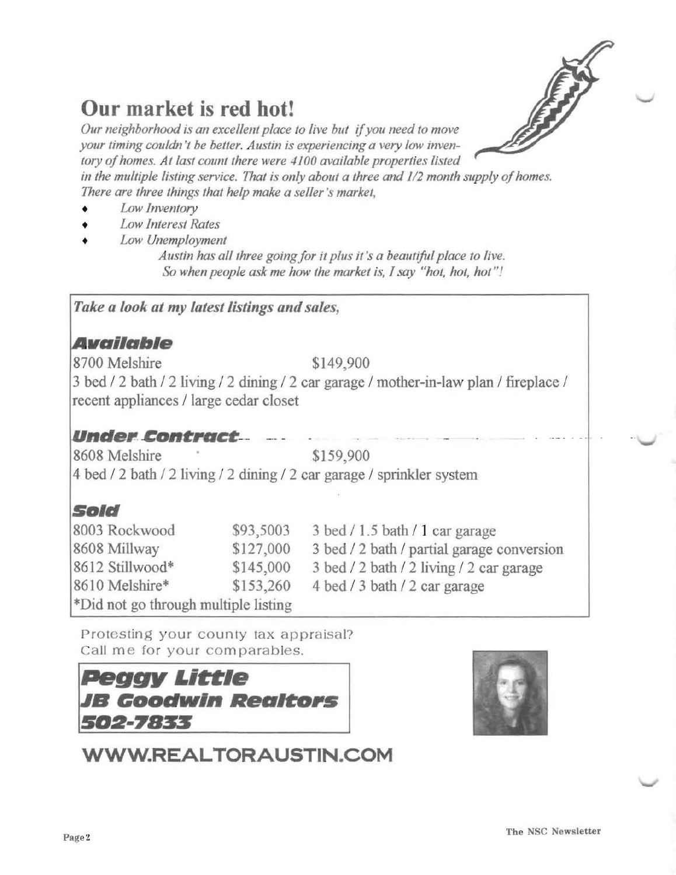

## **Our market is red hot!**

Our neighborhood is an excellent place to live but if you need to move *your timing couldn't be better. Austin is experiencing a very law inven* tory of homes. At last count there were 4100 available properties listed in the multiple listing service. That is only about a three and 1/2 month supply of homes. *There are three things that help make a seller's market,* 

- *Low Inventory*
- *Law Interest Rates*
- *Low Unemployment*

Austin has all three going for it plus it's a beautiful place to live. *So when people ask me how the market is, I say "hot, hot, hot"!* 

#### *Take a look at* my *latest listings and sales,*

#### **Available**

8700 Melshire \$149,900

3 bed / 2 bath / 2 living / 2 dining / 2 car garage / mother-in-law plan / fireplace / recent appliances / large cedar closet

#### Under Contract

8608 Melshire \* \$159,900 4 bed / 2 bath / 2 living / 2 dining / 2 car garage / sprinkler system

### **Sold**

| 8003 Rockwood                        | \$93,5003 | $3$ bed $/ 1.5$ bath $/ 1$ car garage      |
|--------------------------------------|-----------|--------------------------------------------|
| 8608 Millway                         | \$127,000 | 3 bed / 2 bath / partial garage conversion |
| 8612 Stillwood*                      | \$145,000 | 3 bed / 2 bath / 2 living / 2 car garage   |
| 8610 Melshire*                       | \$153,260 | 4 bed / 3 bath / 2 car garage              |
| *Did not go through multiple listing |           |                                            |

Protesting your county tax appraisal? Call me for your comparables.

## .•' .. •'t'.' . .*4:*.. *..... .* ,, ~ " **PeggJl** "'~I. *.,.t.* "',' ~. **GDDdw'"** 4~,. :' '. **Ilea\_,s** ~ . , **5112-7855** ~;



## **WWW.REALTORAUSTIN.COM**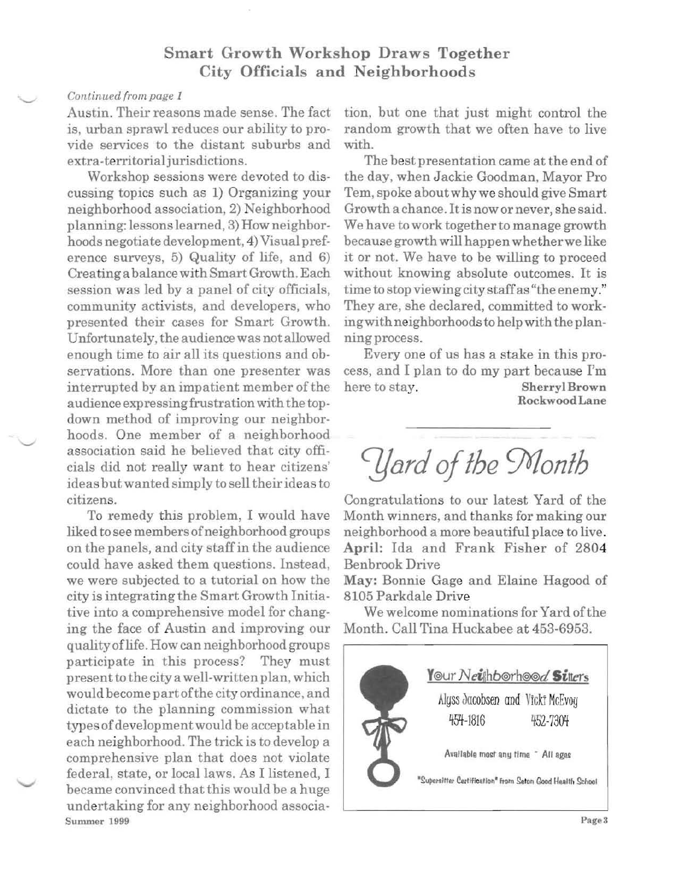#### Smart Growth Workshop Draws Together City Officials and Neighborhoods

#### *Continued from page 1*

Austin. Their reasons made sense. The fact is, urban sprawl reduces our ability to provide services to the distant suburbs and extra-territorial jurisdictions.

Workshop sessions were devoted to discussing topics such as 1) Organizing your neighborhood association, 2) Neighborhood planning: lessons learned, 3) How neighborhoods negotiate development, 4) Visual preference surveys, 5) Quality of life, and 6) Creating a balance with Smart Growth. Each session was led by a panel of city officials, community activists, and developers, who presented their cases for Smart Growth. Unfortunately, the audience was not allowed enough time to air all its questions and observations. More than one presenter was interrupted by an impatient member of the audience expressing frustration with the topdown method of improving our neighborhoods. One member of a neighborhood association said he believed that city officials did not really want to hear citizens' ideas but wanted simply to sell theirideas to citizens.

To remedy this problem, I would have liked to see members of neighborhood groups on the panels, and city staffin the audience could have asked them questions. Instead, we were subjected to a tutorial on how the city is integrating the Smart Growth Initiative into a comprehensive model for changing the face of Austin and improving our qualityoflife. How can neighborhood groups participate in this process? They must present to the city a well-written plan, which would become part ofthe city ordinance, and dictate to the planning commission what types of development would be acceptable in each neighborhood. The trick is to develop a comprehensive plan that does not violate federal, state, or local laws. As I listened, I became convinced that this would be a huge undertaking for any neighborhood associa-Summer 1999

tion, but one that just might control the random growth that we often have to live with.

The best presentation came at the end of the day, when Jackie Goodman, Mayor Pro Tem, spoke aboutwhy we should give Smart Growth a chance. It is now or never, she said. We have to work together to manage growth because growth will happenwhetherwe like it or not. We have to be willing to proceed without knowing absolute outcomes. It is time to stop viewing city staffas "the enemy." They are, she declared, committed to workingwith neighborhoods to help with the planning process.

Every one of us has a stake in this process, and I plan to do my part because I'm here to stay. Sherryl Brown RockwoodLane

*CYtlrd Ofthe Wonth* 

Congratulations to our latest Yard of the Month winners, and thanks for making our neighborhood a more beautiful place to live. April: Ida and Frank Fisher of 2804 Benbrook Drive

May: Bonnie Gage and Elaine Hagood of 8105 Parkdale Drive

We welcome nominations for Yard of the Month. Call Tina Huckabee at 453-6953.

Y@ur *N eiRhb®rh©©d* Siners Alyss Jacobsen and Vicki McEvoy 454-1816 452-7304 Available most any time \* All ages "Supersitter Certification" from Seton Good Health School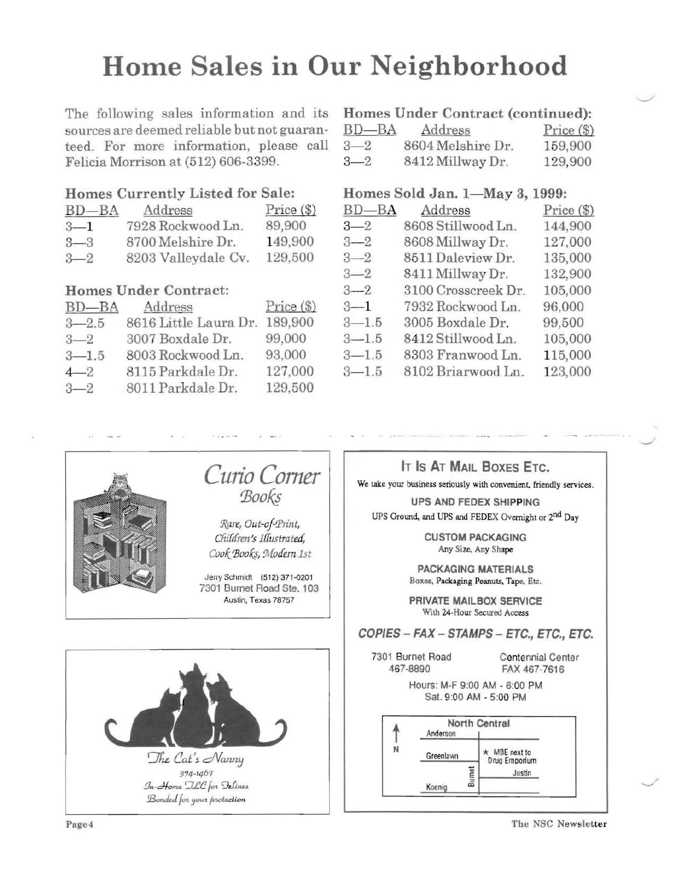## **Home Sales in Our Neighborhood**

The following sales information and its Homes Under Contract (continued): sources are deemed reliable but not guaranteed. For more information, please call Felicia Morrison at (512) 606-3399.

#### Homes Currently Listed for Sale:

| $BD-BA$ | Address             | $Price (\$)$ |  |
|---------|---------------------|--------------|--|
| $3 - 1$ | 7928 Rockwood Ln.   | 89,900       |  |
| $3 - 3$ | 8700 Melshire Dr.   | 149,900      |  |
| $3 - 2$ | 8203 Valleydale Cv. | 129,500      |  |

#### Homes Under Contract:

|           | $BD-BA$ | Address               | $Price (\$)$ |
|-----------|---------|-----------------------|--------------|
| $3 - 2.5$ |         | 8616 Little Laura Dr. | 189,900      |
| $3 - 2$   |         | 3007 Boxdale Dr.      | 99,000       |
| $3 - 1.5$ |         | 8003 Rockwood Ln.     | 93,000       |
| $4 - 2$   |         | 8115 Parkdale Dr.     | 127,000      |
| $3 - 2$   |         | 8011 Parkdale Dr.     | 129,500      |

| $BD$ — $BA$ | Address           | $Price (\$)$ |
|-------------|-------------------|--------------|
| $3 - 2$     | 8604 Melshire Dr. | 159,900      |
| $3 - 2$     | 8412 Millway Dr.  | 129,900      |

#### Homes Sold Jan. 1-May 3, 1999:

| $BD-BA$   | Address             | $Price (\$)$ |
|-----------|---------------------|--------------|
| $3 - 2$   | 8608 Stillwood Ln.  | 144,900      |
| $3 - 2$   | 8608 Millway Dr.    | 127,000      |
| $3 - 2$   | 8511 Daleview Dr.   | 135,000      |
| $3 - 2$   | 8411 Millway Dr.    | 132,900      |
| $3 - 2$   | 3100 Crosscreek Dr. | 105,000      |
| $3 - 1$   | 7932 Rockwood Ln.   | 96,000       |
| $3 - 1.5$ | 3005 Boxdale Dr.    | 99,500       |
| $3 - 1.5$ | 8412 Stillwood Ln.  | 105,000      |
| $3 - 1.5$ | 8303 Franwood Ln.   | 115,000      |
| $3 - 1.5$ | 8102 Briarwood Ln.  | 123,000      |



Tbe NSC Newsletter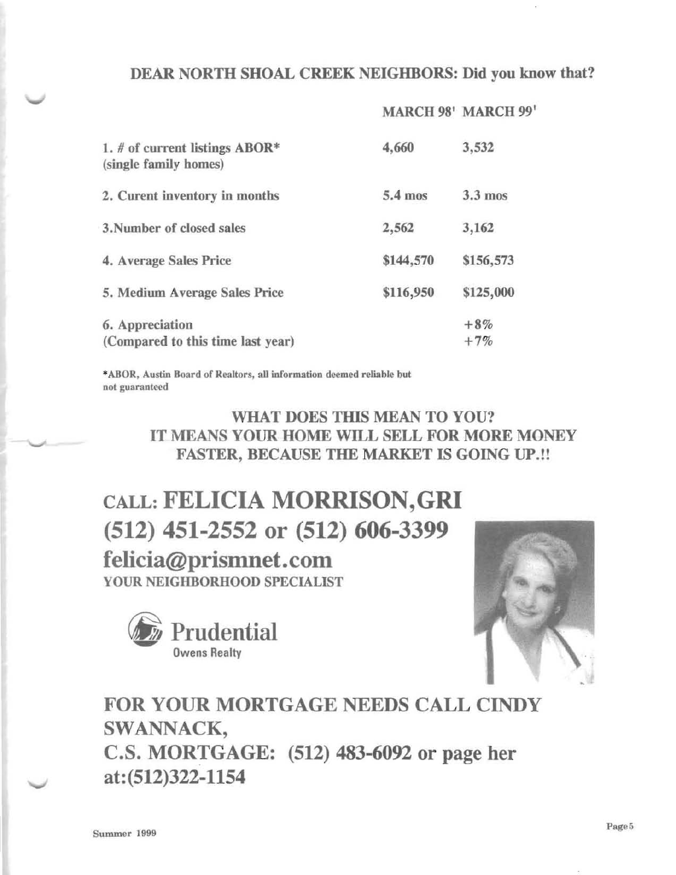#### DEAR NORTH SHOAL CREEK NEIGHBORS: Did you know that?

#### MARCH 98' MARCH 99'

| 1. # of current listings $ABOR*$<br>(single family homes) | 4,660     | 3,532          |
|-----------------------------------------------------------|-----------|----------------|
| 2. Curent inventory in months                             | 5.4 mos   | $3.3$ mos      |
| 3. Number of closed sales                                 | 2,562     | 3,162          |
| 4. Average Sales Price                                    | \$144,570 | \$156,573      |
| 5. Medium Average Sales Price                             | \$116,950 | \$125,000      |
| 6. Appreciation<br>(Compared to this time last year)      |           | $+8%$<br>$+7%$ |

\*ABOR. Austin Board of Realtors, aU information deemed reliable but not guaranteed

#### WHAT DOES THIS MEAN TO YOU? IT MEANS YOUR HOME WILL SELL FOR MORE MONEY FASTER, BECAUSE THE MARKET IS GOING UP.!!

CALL: FELICIA MORRISON,GRI (512) 451-2552 or (512) 606-3399 felicia@prismnet.com YOUR NEIGHBORHOOD SPECIALIST





FOR YOUR MORTGAGE NEEDS CALL CINDY SWANNACK, C.S. MORTGAGE: (512) 483-6092 or page her at: (512)322-1154